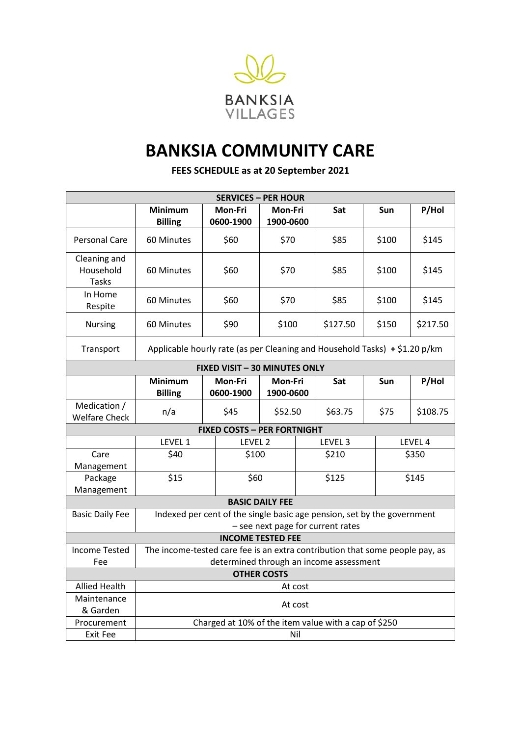

## **BANKSIA COMMUNITY CARE**

**FEES SCHEDULE as at 20 September 2021**

| <b>SERVICES - PER HOUR</b>           |                                                                              |                      |                      |  |          |       |          |  |
|--------------------------------------|------------------------------------------------------------------------------|----------------------|----------------------|--|----------|-------|----------|--|
|                                      | <b>Minimum</b>                                                               | Mon-Fri              | Mon-Fri              |  | Sat      | Sun   | P/Hol    |  |
|                                      | <b>Billing</b>                                                               | 0600-1900            | 1900-0600            |  |          |       |          |  |
| Personal Care                        | 60 Minutes                                                                   | \$60                 | \$70                 |  | \$85     | \$100 | \$145    |  |
| Cleaning and<br>Household<br>Tasks   | 60 Minutes                                                                   | \$60                 | \$70                 |  | \$85     | \$100 | \$145    |  |
| In Home<br>Respite                   | 60 Minutes                                                                   | \$60                 | \$70                 |  | \$85     | \$100 | \$145    |  |
| <b>Nursing</b>                       | 60 Minutes                                                                   | \$90                 | \$100                |  | \$127.50 | \$150 | \$217.50 |  |
| Transport                            | Applicable hourly rate (as per Cleaning and Household Tasks) + \$1.20 p/km   |                      |                      |  |          |       |          |  |
| FIXED VISIT - 30 MINUTES ONLY        |                                                                              |                      |                      |  |          |       |          |  |
|                                      | <b>Minimum</b><br><b>Billing</b>                                             | Mon-Fri<br>0600-1900 | Mon-Fri<br>1900-0600 |  | Sat      | Sun   | P/Hol    |  |
| Medication /<br><b>Welfare Check</b> | n/a                                                                          | \$45                 | \$52.50              |  | \$63.75  | \$75  | \$108.75 |  |
| <b>FIXED COSTS - PER FORTNIGHT</b>   |                                                                              |                      |                      |  |          |       |          |  |
|                                      | LEVEL 1                                                                      |                      | LEVEL 2              |  | LEVEL 3  |       | LEVEL 4  |  |
| Care<br>Management                   | \$40                                                                         |                      | \$100                |  | \$210    |       | \$350    |  |
| Package<br>Management                | \$15                                                                         |                      | \$60                 |  | \$125    |       | \$145    |  |
| <b>BASIC DAILY FEE</b>               |                                                                              |                      |                      |  |          |       |          |  |
| <b>Basic Daily Fee</b>               | Indexed per cent of the single basic age pension, set by the government      |                      |                      |  |          |       |          |  |
|                                      | - see next page for current rates                                            |                      |                      |  |          |       |          |  |
| <b>INCOME TESTED FEE</b>             |                                                                              |                      |                      |  |          |       |          |  |
| <b>Income Tested</b>                 | The income-tested care fee is an extra contribution that some people pay, as |                      |                      |  |          |       |          |  |
| Fee                                  | determined through an income assessment                                      |                      |                      |  |          |       |          |  |
| <b>OTHER COSTS</b>                   |                                                                              |                      |                      |  |          |       |          |  |
| <b>Allied Health</b>                 | At cost                                                                      |                      |                      |  |          |       |          |  |
| Maintenance                          | At cost                                                                      |                      |                      |  |          |       |          |  |
| & Garden<br>Procurement              | Charged at 10% of the item value with a cap of \$250                         |                      |                      |  |          |       |          |  |
| Exit Fee                             | Nil                                                                          |                      |                      |  |          |       |          |  |